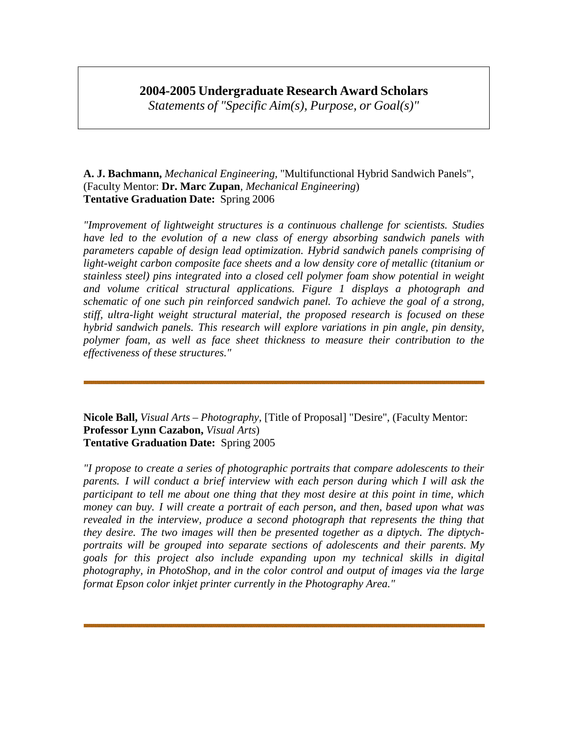## **2004-2005 Undergraduate Research Award Scholars**

*Statements of "Specific Aim(s), Purpose, or Goal(s)"*

## **A. J. Bachmann,** *Mechanical Engineering,* "Multifunctional Hybrid Sandwich Panels", (Faculty Mentor: **Dr. Marc Zupan***, Mechanical Engineering*) **Tentative Graduation Date:** Spring 2006

*"Improvement of lightweight structures is a continuous challenge for scientists. Studies have led to the evolution of a new class of energy absorbing sandwich panels with parameters capable of design lead optimization. Hybrid sandwich panels comprising of light-weight carbon composite face sheets and a low density core of metallic (titanium or stainless steel) pins integrated into a closed cell polymer foam show potential in weight and volume critical structural applications. Figure 1 displays a photograph and schematic of one such pin reinforced sandwich panel. To achieve the goal of a strong, stiff, ultra-light weight structural material, the proposed research is focused on these hybrid sandwich panels. This research will explore variations in pin angle, pin density, polymer foam, as well as face sheet thickness to measure their contribution to the effectiveness of these structures."*

**Nicole Ball,** *Visual Arts – Photography,* [Title of Proposal] "Desire", (Faculty Mentor: **Professor Lynn Cazabon,** *Visual Arts*) **Tentative Graduation Date:** Spring 2005

*"I propose to create a series of photographic portraits that compare adolescents to their parents. I will conduct a brief interview with each person during which I will ask the participant to tell me about one thing that they most desire at this point in time, which money can buy. I will create a portrait of each person, and then, based upon what was revealed in the interview, produce a second photograph that represents the thing that they desire. The two images will then be presented together as a diptych. The diptychportraits will be grouped into separate sections of adolescents and their parents. My goals for this project also include expanding upon my technical skills in digital photography, in PhotoShop, and in the color control and output of images via the large format Epson color inkjet printer currently in the Photography Area."*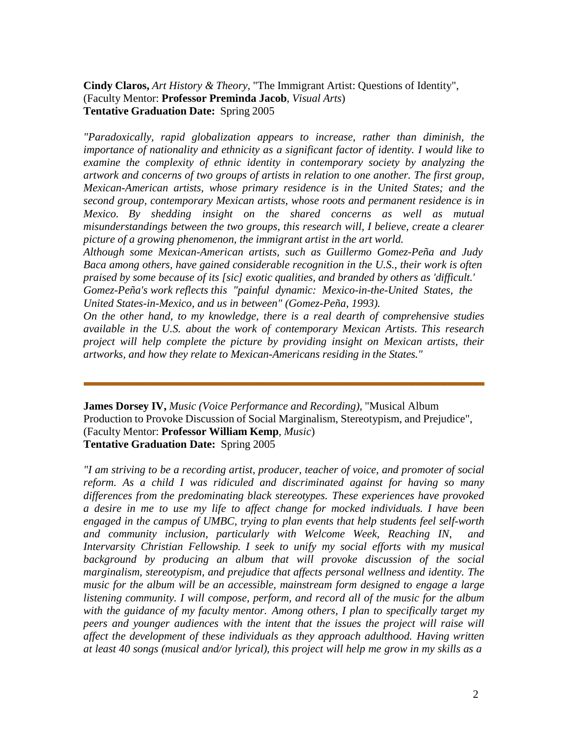**Cindy Claros,** *Art History & Theory,* "The Immigrant Artist: Questions of Identity", (Faculty Mentor: **Professor Preminda Jacob**, *Visual Arts*) **Tentative Graduation Date:** Spring 2005

*"Paradoxically, rapid globalization appears to increase, rather than diminish, the importance of nationality and ethnicity as a significant factor of identity. I would like to examine the complexity of ethnic identity in contemporary society by analyzing the artwork and concerns of two groups of artists in relation to one another. The first group, Mexican-American artists, whose primary residence is in the United States; and the second group, contemporary Mexican artists, whose roots and permanent residence is in Mexico. By shedding insight on the shared concerns as well as mutual misunderstandings between the two groups, this research will, I believe, create a clearer picture of a growing phenomenon, the immigrant artist in the art world.*

*Although some Mexican-American artists, such as Guillermo Gomez-Peña and Judy Baca among others, have gained considerable recognition in the U.S., their work is often praised by some because of its [sic] exotic qualities, and branded by others as 'difficult.' Gomez-Peña's work reflects this "painful dynamic: Mexico-in-the-United States, the* 

*United States-in-Mexico, and us in between" (Gomez-Peña, 1993).*

*On the other hand, to my knowledge, there is a real dearth of comprehensive studies available in the U.S. about the work of contemporary Mexican Artists. This research project will help complete the picture by providing insight on Mexican artists, their artworks, and how they relate to Mexican-Americans residing in the States."*

**James Dorsey IV,** *Music (Voice Performance and Recording),* "Musical Album Production to Provoke Discussion of Social Marginalism, Stereotypism, and Prejudice", (Faculty Mentor: **Professor William Kemp***, Music*) **Tentative Graduation Date:** Spring 2005

*"I am striving to be a recording artist, producer, teacher of voice, and promoter of social reform. As a child I was ridiculed and discriminated against for having so many differences from the predominating black stereotypes. These experiences have provoked a desire in me to use my life to affect change for mocked individuals. I have been engaged in the campus of UMBC, trying to plan events that help students feel self-worth and community inclusion, particularly with Welcome Week, Reaching IN, and Intervarsity Christian Fellowship. I seek to unify my social efforts with my musical background by producing an album that will provoke discussion of the social marginalism, stereotypism, and prejudice that affects personal wellness and identity. The music for the album will be an accessible, mainstream form designed to engage a large listening community. I will compose, perform, and record all of the music for the album with the guidance of my faculty mentor. Among others, I plan to specifically target my peers and younger audiences with the intent that the issues the project will raise will affect the development of these individuals as they approach adulthood. Having written at least 40 songs (musical and/or lyrical), this project will help me grow in my skills as a*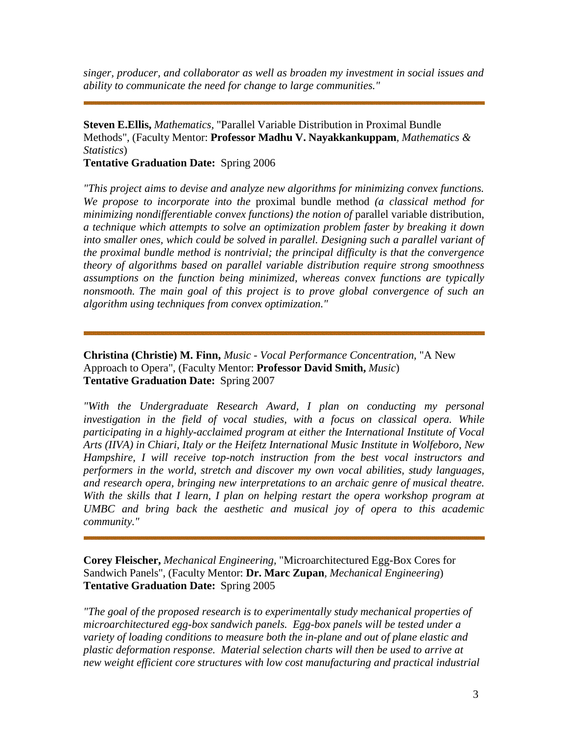*singer, producer, and collaborator as well as broaden my investment in social issues and ability to communicate the need for change to large communities."*

## **Steven E.Ellis,** *Mathematics,* "Parallel Variable Distribution in Proximal Bundle Methods", (Faculty Mentor: **Professor Madhu V. Nayakkankuppam***, Mathematics & Statistics*)

**Tentative Graduation Date:** Spring 2006

*"This project aims to devise and analyze new algorithms for minimizing convex functions. We propose to incorporate into the* proximal bundle method *(a classical method for minimizing nondifferentiable convex functions) the notion of* parallel variable distribution, *a technique which attempts to solve an optimization problem faster by breaking it down into smaller ones, which could be solved in parallel. Designing such a parallel variant of the proximal bundle method is nontrivial; the principal difficulty is that the convergence theory of algorithms based on parallel variable distribution require strong smoothness assumptions on the function being minimized, whereas convex functions are typically nonsmooth. The main goal of this project is to prove global convergence of such an algorithm using techniques from convex optimization."*

**Christina (Christie) M. Finn,** *Music - Vocal Performance Concentration,* "A New Approach to Opera", (Faculty Mentor: **Professor David Smith,** *Music*) **Tentative Graduation Date:** Spring 2007

*"With the Undergraduate Research Award, I plan on conducting my personal investigation in the field of vocal studies, with a focus on classical opera. While participating in a highly-acclaimed program at either the International Institute of Vocal Arts (IIVA) in Chiari, Italy or the Heifetz International Music Institute in Wolfeboro, New Hampshire, I will receive top-notch instruction from the best vocal instructors and performers in the world, stretch and discover my own vocal abilities, study languages, and research opera, bringing new interpretations to an archaic genre of musical theatre. With the skills that I learn, I plan on helping restart the opera workshop program at UMBC and bring back the aesthetic and musical joy of opera to this academic community."*

**Corey Fleischer,** *Mechanical Engineering,* "Microarchitectured Egg-Box Cores for Sandwich Panels", (Faculty Mentor: **Dr. Marc Zupan***, Mechanical Engineering*) **Tentative Graduation Date:** Spring 2005

*"The goal of the proposed research is to experimentally study mechanical properties of microarchitectured egg-box sandwich panels. Egg-box panels will be tested under a variety of loading conditions to measure both the in-plane and out of plane elastic and plastic deformation response. Material selection charts will then be used to arrive at new weight efficient core structures with low cost manufacturing and practical industrial*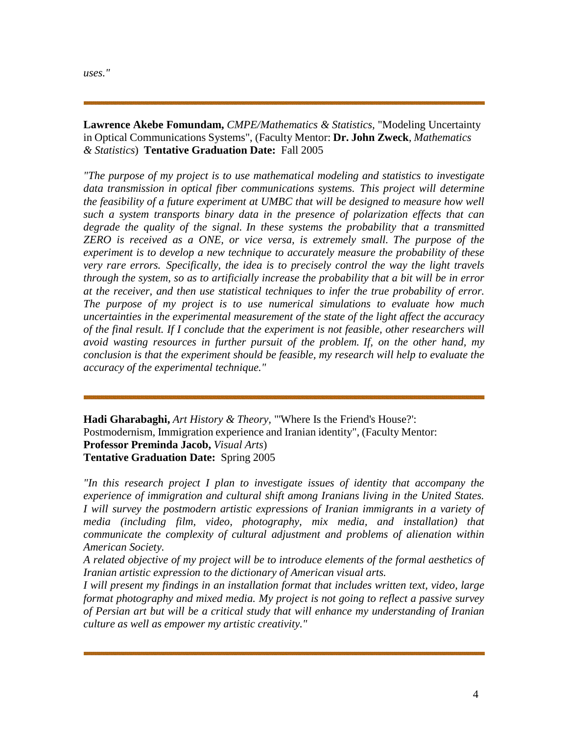*uses."*

**Lawrence Akebe Fomundam,** *CMPE/Mathematics & Statistics,* "Modeling Uncertainty in Optical Communications Systems", (Faculty Mentor: **Dr. John Zweck***, Mathematics & Statistics*) **Tentative Graduation Date:** Fall 2005

*"The purpose of my project is to use mathematical modeling and statistics to investigate data transmission in optical fiber communications systems. This project will determine the feasibility of a future experiment at UMBC that will be designed to measure how well such a system transports binary data in the presence of polarization effects that can degrade the quality of the signal. In these systems the probability that a transmitted ZERO is received as a ONE, or vice versa, is extremely small. The purpose of the experiment is to develop a new technique to accurately measure the probability of these very rare errors. Specifically, the idea is to precisely control the way the light travels through the system, so as to artificially increase the probability that a bit will be in error at the receiver, and then use statistical techniques to infer the true probability of error. The purpose of my project is to use numerical simulations to evaluate how much uncertainties in the experimental measurement of the state of the light affect the accuracy of the final result. If I conclude that the experiment is not feasible, other researchers will avoid wasting resources in further pursuit of the problem. If, on the other hand, my conclusion is that the experiment should be feasible, my research will help to evaluate the accuracy of the experimental technique."*

**Hadi Gharabaghi,** *Art History & Theory,* "'Where Is the Friend's House?': Postmodernism, Immigration experience and Iranian identity", (Faculty Mentor: **Professor Preminda Jacob,** *Visual Arts*) **Tentative Graduation Date:** Spring 2005

*"In this research project I plan to investigate issues of identity that accompany the experience of immigration and cultural shift among Iranians living in the United States. I will survey the postmodern artistic expressions of Iranian immigrants in a variety of media (including film, video, photography, mix media, and installation) that communicate the complexity of cultural adjustment and problems of alienation within American Society.*

*A related objective of my project will be to introduce elements of the formal aesthetics of Iranian artistic expression to the dictionary of American visual arts.*

*I will present my findings in an installation format that includes written text, video, large format photography and mixed media. My project is not going to reflect a passive survey of Persian art but will be a critical study that will enhance my understanding of Iranian culture as well as empower my artistic creativity."*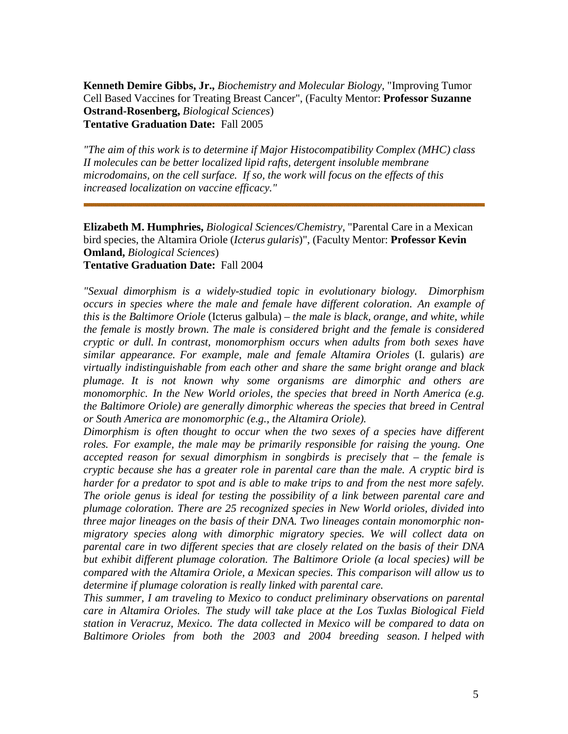**Kenneth Demire Gibbs, Jr.,** *Biochemistry and Molecular Biology,* "Improving Tumor Cell Based Vaccines for Treating Breast Cancer", (Faculty Mentor: **Professor Suzanne Ostrand-Rosenberg,** *Biological Sciences*) **Tentative Graduation Date:** Fall 2005

*"The aim of this work is to determine if Major Histocompatibility Complex (MHC) class II molecules can be better localized lipid rafts, detergent insoluble membrane microdomains, on the cell surface. If so, the work will focus on the effects of this increased localization on vaccine efficacy."*

**Elizabeth M. Humphries,** *Biological Sciences/Chemistry,* "Parental Care in a Mexican bird species, the Altamira Oriole (*Icterus gularis*)", (Faculty Mentor: **Professor Kevin Omland,** *Biological Sciences*) **Tentative Graduation Date:** Fall 2004

*"Sexual dimorphism is a widely-studied topic in evolutionary biology. Dimorphism occurs in species where the male and female have different coloration. An example of this is the Baltimore Oriole* (Icterus galbula) – *the male is black, orange, and white, while the female is mostly brown. The male is considered bright and the female is considered cryptic or dull. In contrast, monomorphism occurs when adults from both sexes have similar appearance. For example, male and female Altamira Orioles* (I. gularis) *are virtually indistinguishable from each other and share the same bright orange and black plumage. It is not known why some organisms are dimorphic and others are monomorphic. In the New World orioles, the species that breed in North America (e.g. the Baltimore Oriole) are generally dimorphic whereas the species that breed in Central or South America are monomorphic (e.g., the Altamira Oriole).*

*Dimorphism is often thought to occur when the two sexes of a species have different roles. For example, the male may be primarily responsible for raising the young. One accepted reason for sexual dimorphism in songbirds is precisely that – the female is cryptic because she has a greater role in parental care than the male. A cryptic bird is harder for a predator to spot and is able to make trips to and from the nest more safely. The oriole genus is ideal for testing the possibility of a link between parental care and plumage coloration. There are 25 recognized species in New World orioles, divided into three major lineages on the basis of their DNA. Two lineages contain monomorphic nonmigratory species along with dimorphic migratory species. We will collect data on parental care in two different species that are closely related on the basis of their DNA but exhibit different plumage coloration. The Baltimore Oriole (a local species) will be compared with the Altamira Oriole, a Mexican species. This comparison will allow us to determine if plumage coloration is really linked with parental care.*

*This summer, I am traveling to Mexico to conduct preliminary observations on parental care in Altamira Orioles. The study will take place at the Los Tuxlas Biological Field station in Veracruz, Mexico. The data collected in Mexico will be compared to data on Baltimore Orioles from both the 2003 and 2004 breeding season. I helped with*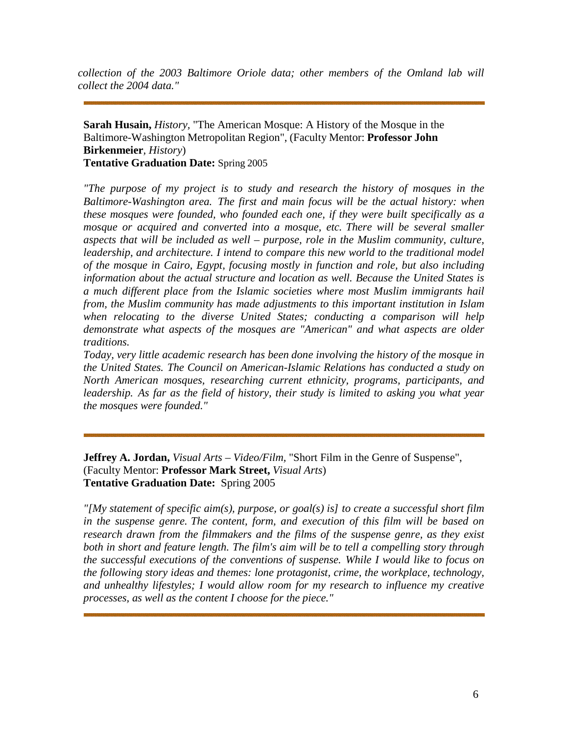*collection of the 2003 Baltimore Oriole data; other members of the Omland lab will collect the 2004 data."*

**Sarah Husain,** *History,* "The American Mosque: A History of the Mosque in the Baltimore-Washington Metropolitan Region", (Faculty Mentor: **Professor John Birkenmeier***, History*) **Tentative Graduation Date:** Spring 2005

*"The purpose of my project is to study and research the history of mosques in the Baltimore-Washington area. The first and main focus will be the actual history: when these mosques were founded, who founded each one, if they were built specifically as a mosque or acquired and converted into a mosque, etc. There will be several smaller aspects that will be included as well – purpose, role in the Muslim community, culture, leadership, and architecture. I intend to compare this new world to the traditional model of the mosque in Cairo, Egypt, focusing mostly in function and role, but also including information about the actual structure and location as well. Because the United States is a much different place from the Islamic societies where most Muslim immigrants hail from, the Muslim community has made adjustments to this important institution in Islam when relocating to the diverse United States; conducting a comparison will help demonstrate what aspects of the mosques are "American" and what aspects are older traditions.*

*Today, very little academic research has been done involving the history of the mosque in the United States. The Council on American-Islamic Relations has conducted a study on North American mosques, researching current ethnicity, programs, participants, and leadership. As far as the field of history, their study is limited to asking you what year the mosques were founded."*

**Jeffrey A. Jordan,** *Visual Arts – Video/Film,* "Short Film in the Genre of Suspense", (Faculty Mentor: **Professor Mark Street,** *Visual Arts*) **Tentative Graduation Date:** Spring 2005

*"[My statement of specific aim(s), purpose, or goal(s) is] to create a successful short film in the suspense genre. The content, form, and execution of this film will be based on research drawn from the filmmakers and the films of the suspense genre, as they exist both in short and feature length. The film's aim will be to tell a compelling story through the successful executions of the conventions of suspense. While I would like to focus on the following story ideas and themes: lone protagonist, crime, the workplace, technology, and unhealthy lifestyles; I would allow room for my research to influence my creative processes, as well as the content I choose for the piece."*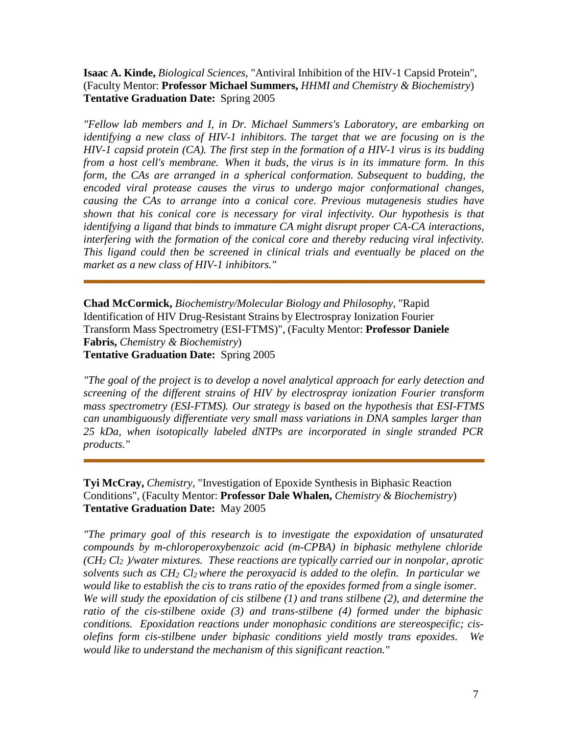## **Isaac A. Kinde,** *Biological Sciences,* "Antiviral Inhibition of the HIV-1 Capsid Protein", (Faculty Mentor: **Professor Michael Summers,** *HHMI and Chemistry & Biochemistry*) **Tentative Graduation Date:** Spring 2005

*"Fellow lab members and I, in Dr. Michael Summers's Laboratory, are embarking on identifying a new class of HIV-1 inhibitors. The target that we are focusing on is the HIV-1 capsid protein (CA). The first step in the formation of a HIV-1 virus is its budding from a host cell's membrane. When it buds, the virus is in its immature form. In this form, the CAs are arranged in a spherical conformation. Subsequent to budding, the encoded viral protease causes the virus to undergo major conformational changes, causing the CAs to arrange into a conical core. Previous mutagenesis studies have shown that his conical core is necessary for viral infectivity. Our hypothesis is that identifying a ligand that binds to immature CA might disrupt proper CA-CA interactions, interfering with the formation of the conical core and thereby reducing viral infectivity. This ligand could then be screened in clinical trials and eventually be placed on the market as a new class of HIV-1 inhibitors."*

**Chad McCormick,** *Biochemistry/Molecular Biology and Philosophy,* "Rapid Identification of HIV Drug-Resistant Strains by Electrospray Ionization Fourier Transform Mass Spectrometry (ESI-FTMS)", (Faculty Mentor: **Professor Daniele Fabris,** *Chemistry & Biochemistry*) **Tentative Graduation Date:** Spring 2005

*"The goal of the project is to develop a novel analytical approach for early detection and screening of the different strains of HIV by electrospray ionization Fourier transform mass spectrometry (ESI-FTMS). Our strategy is based on the hypothesis that ESI-FTMS can unambiguously differentiate very small mass variations in DNA samples larger than 25 kDa, when isotopically labeled dNTPs are incorporated in single stranded PCR products."*

**Tyi McCray,** *Chemistry,* "Investigation of Epoxide Synthesis in Biphasic Reaction Conditions", (Faculty Mentor: **Professor Dale Whalen,** *Chemistry & Biochemistry*) **Tentative Graduation Date:** May 2005

*"The primary goal of this research is to investigate the expoxidation of unsaturated compounds by m-chloroperoxybenzoic acid (m-CPBA) in biphasic methylene chloride (CH2 Cl2 )/water mixtures. These reactions are typically carried our in nonpolar, aprotic solvents such as CH2 Cl2 where the peroxyacid is added to the olefin. In particular we would like to establish the cis to trans ratio of the epoxides formed from a single isomer. We will study the epoxidation of cis stilbene (1) and trans stilbene (2), and determine the ratio of the cis-stilbene oxide (3) and trans-stilbene (4) formed under the biphasic conditions. Epoxidation reactions under monophasic conditions are stereospecific; cisolefins form cis-stilbene under biphasic conditions yield mostly trans epoxides. We would like to understand the mechanism of this significant reaction."*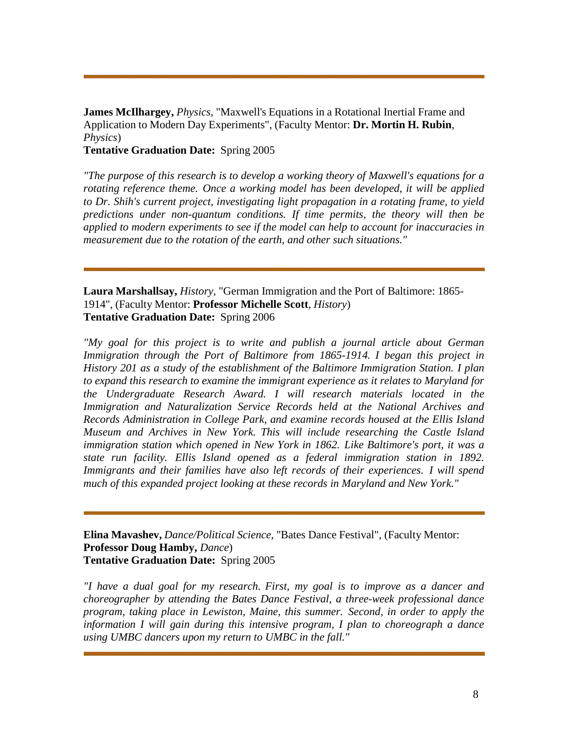**James McIlhargey,** *Physics,* "Maxwell's Equations in a Rotational Inertial Frame and Application to Modern Day Experiments", (Faculty Mentor: **Dr. Mortin H. Rubin***, Physics*)

**Tentative Graduation Date:** Spring 2005

*"The purpose of this research is to develop a working theory of Maxwell's equations for a rotating reference theme. Once a working model has been developed, it will be applied to Dr. Shih's current project, investigating light propagation in a rotating frame, to yield predictions under non-quantum conditions. If time permits, the theory will then be applied to modern experiments to see if the model can help to account for inaccuracies in measurement due to the rotation of the earth, and other such situations."*

**Laura Marshallsay,** *History,* "German Immigration and the Port of Baltimore: 1865- 1914", (Faculty Mentor: **Professor Michelle Scott***, History*) **Tentative Graduation Date:** Spring 2006

*"My goal for this project is to write and publish a journal article about German Immigration through the Port of Baltimore from 1865-1914. I began this project in History 201 as a study of the establishment of the Baltimore Immigration Station. I plan to expand this research to examine the immigrant experience as it relates to Maryland for the Undergraduate Research Award. I will research materials located in the Immigration and Naturalization Service Records held at the National Archives and Records Administration in College Park, and examine records housed at the Ellis Island Museum and Archives in New York. This will include researching the Castle Island immigration station which opened in New York in 1862. Like Baltimore's port, it was a state run facility. Ellis Island opened as a federal immigration station in 1892. Immigrants and their families have also left records of their experiences. I will spend much of this expanded project looking at these records in Maryland and New York."*

**Elina Mavashev,** *Dance/Political Science,* "Bates Dance Festival", (Faculty Mentor: **Professor Doug Hamby,** *Dance*) **Tentative Graduation Date:** Spring 2005

*"I have a dual goal for my research. First, my goal is to improve as a dancer and choreographer by attending the Bates Dance Festival, a three-week professional dance program, taking place in Lewiston, Maine, this summer. Second, in order to apply the information I will gain during this intensive program, I plan to choreograph a dance using UMBC dancers upon my return to UMBC in the fall."*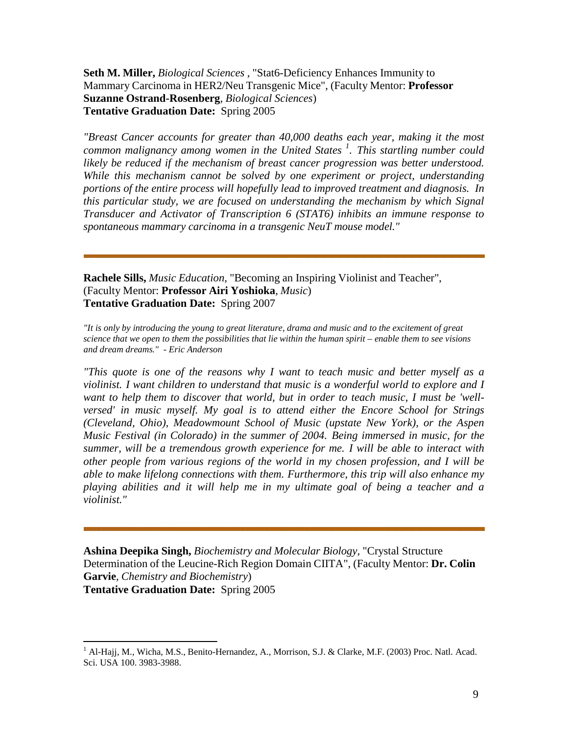**Seth M. Miller,** *Biological Sciences ,* "Stat6-Deficiency Enhances Immunity to Mammary Carcinoma in HER2/Neu Transgenic Mice", (Faculty Mentor: **Professor Suzanne Ostrand-Rosenberg***, Biological Sciences*) **Tentative Graduation Date:** Spring 2005

*"Breast Cancer accounts for greater than 40,000 deaths each year, making it the most common malignancy among women in the United States <sup>1</sup> [.](#page-8-0) This startling number could likely be reduced if the mechanism of breast cancer progression was better understood. While this mechanism cannot be solved by one experiment or project, understanding portions of the entire process will hopefully lead to improved treatment and diagnosis. In this particular study, we are focused on understanding the mechanism by which Signal Transducer and Activator of Transcription 6 (STAT6) inhibits an immune response to spontaneous mammary carcinoma in a transgenic NeuT mouse model."*

**Rachele Sills,** *Music Education,* "Becoming an Inspiring Violinist and Teacher", (Faculty Mentor: **Professor Airi Yoshioka***, Music*) **Tentative Graduation Date:** Spring 2007

*"It is only by introducing the young to great literature, drama and music and to the excitement of great science that we open to them the possibilities that lie within the human spirit – enable them to see visions and dream dreams." - Eric Anderson*

*"This quote is one of the reasons why I want to teach music and better myself as a violinist. I want children to understand that music is a wonderful world to explore and I want to help them to discover that world, but in order to teach music, I must be 'wellversed' in music myself. My goal is to attend either the Encore School for Strings (Cleveland, Ohio), Meadowmount School of Music (upstate New York), or the Aspen Music Festival (in Colorado) in the summer of 2004. Being immersed in music, for the summer, will be a tremendous growth experience for me. I will be able to interact with other people from various regions of the world in my chosen profession, and I will be able to make lifelong connections with them. Furthermore, this trip will also enhance my playing abilities and it will help me in my ultimate goal of being a teacher and a violinist."*

**Ashina Deepika Singh,** *Biochemistry and Molecular Biology,* "Crystal Structure Determination of the Leucine-Rich Region Domain CIITA", (Faculty Mentor: **Dr. Colin Garvie***, Chemistry and Biochemistry*) **Tentative Graduation Date:** Spring 2005

<span id="page-8-0"></span><sup>&</sup>lt;sup>1</sup> Al-Hajj, M., Wicha, M.S., Benito-Hernandez, A., Morrison, S.J. & Clarke, M.F. (2003) Proc. Natl. Acad. Sci. USA 100. 3983-3988.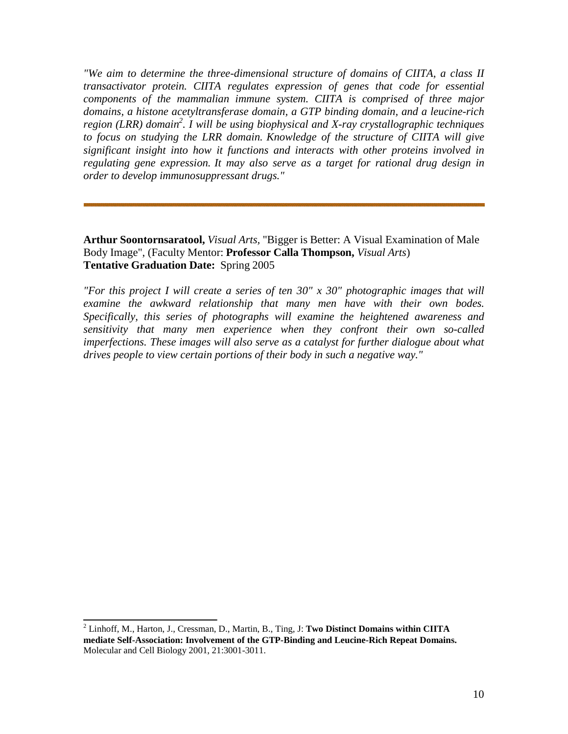*"We aim to determine the three-dimensional structure of domains of CIITA, a class II transactivator protein. CIITA regulates expression of genes that code for essential components of the mammalian immune system. CIITA is comprised of three major domains, a histone acetyltransferase domain, a GTP binding domain, and a leucine-rich region (LRR) domain 2 [.](#page-9-0) I will be using biophysical and X-ray crystallographic techniques to focus on studying the LRR domain. Knowledge of the structure of CIITA will give significant insight into how it functions and interacts with other proteins involved in regulating gene expression. It may also serve as a target for rational drug design in order to develop immunosuppressant drugs."*

**Arthur Soontornsaratool,** *Visual Arts,* "Bigger is Better: A Visual Examination of Male Body Image", (Faculty Mentor: **Professor Calla Thompson,** *Visual Arts*) **Tentative Graduation Date:** Spring 2005

*"For this project I will create a series of ten 30" x 30" photographic images that will examine the awkward relationship that many men have with their own bodes. Specifically, this series of photographs will examine the heightened awareness and sensitivity that many men experience when they confront their own so-called imperfections. These images will also serve as a catalyst for further dialogue about what drives people to view certain portions of their body in such a negative way."*

<span id="page-9-0"></span><sup>2</sup> Linhoff, M., Harton, J., Cressman, D., Martin, B., Ting, J: **Two Distinct Domains within CIITA mediate Self-Association: Involvement of the GTP-Binding and Leucine-Rich Repeat Domains.**  Molecular and Cell Biology 2001, 21:3001-3011.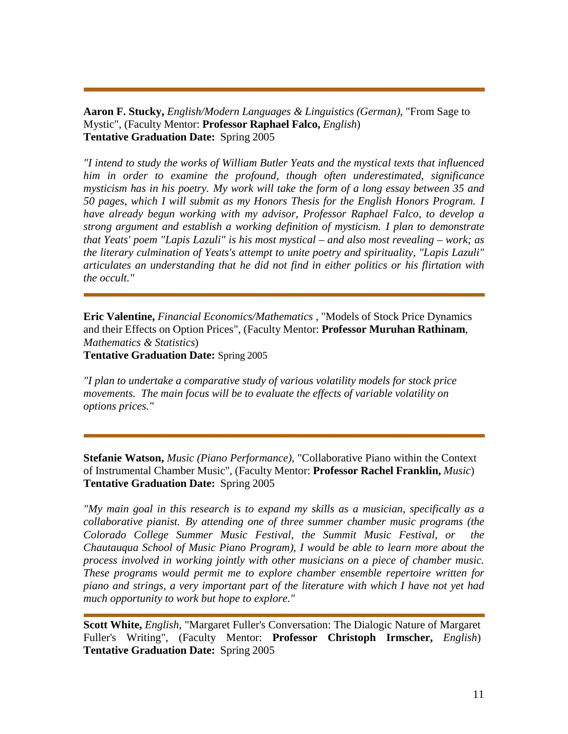**Aaron F. Stucky,** *English/Modern Languages & Linguistics (German),* "From Sage to Mystic", (Faculty Mentor: **Professor Raphael Falco,** *English*) **Tentative Graduation Date:** Spring 2005

*"I intend to study the works of William Butler Yeats and the mystical texts that influenced him in order to examine the profound, though often underestimated, significance mysticism has in his poetry. My work will take the form of a long essay between 35 and 50 pages, which I will submit as my Honors Thesis for the English Honors Program. I have already begun working with my advisor, Professor Raphael Falco, to develop a strong argument and establish a working definition of mysticism. I plan to demonstrate that Yeats' poem "Lapis Lazuli" is his most mystical – and also most revealing – work; as the literary culmination of Yeats's attempt to unite poetry and spirituality, "Lapis Lazuli" articulates an understanding that he did not find in either politics or his flirtation with the occult."*

**Eric Valentine,** *Financial Economics/Mathematics ,* "Models of Stock Price Dynamics and their Effects on Option Prices", (Faculty Mentor: **Professor Muruhan Rathinam***, Mathematics & Statistics*) **Tentative Graduation Date:** Spring 2005

*"I plan to undertake a comparative study of various volatility models for stock price movements. The main focus will be to evaluate the effects of variable volatility on options prices."*

**Stefanie Watson,** *Music (Piano Performance),* "Collaborative Piano within the Context of Instrumental Chamber Music", (Faculty Mentor: **Professor Rachel Franklin,** *Music*) **Tentative Graduation Date:** Spring 2005

*"My main goal in this research is to expand my skills as a musician, specifically as a collaborative pianist. By attending one of three summer chamber music programs (the Colorado College Summer Music Festival, the Summit Music Festival, or the Chautauqua School of Music Piano Program), I would be able to learn more about the process involved in working jointly with other musicians on a piece of chamber music. These programs would permit me to explore chamber ensemble repertoire written for piano and strings, a very important part of the literature with which I have not yet had much opportunity to work but hope to explore."*

**Scott White,** *English,* "Margaret Fuller's Conversation: The Dialogic Nature of Margaret Fuller's Writing", (Faculty Mentor: **Professor Christoph Irmscher,** *English*) **Tentative Graduation Date:** Spring 2005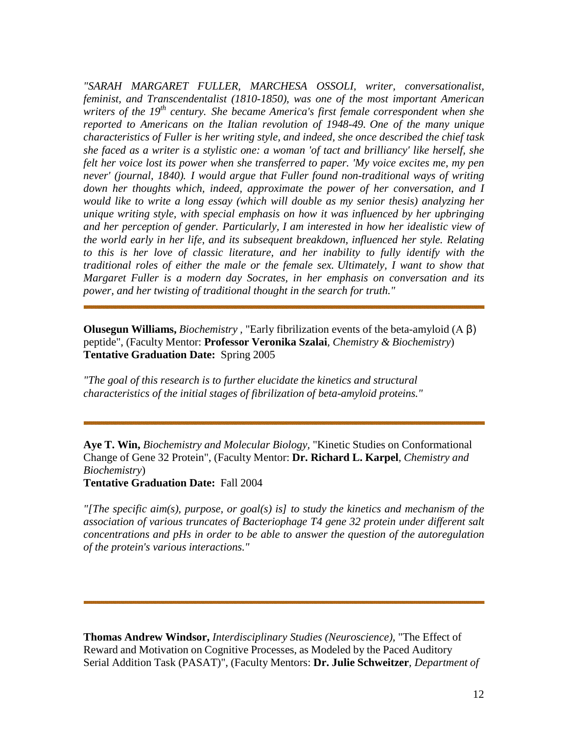*"SARAH MARGARET FULLER, MARCHESA OSSOLI, writer, conversationalist, feminist, and Transcendentalist (1810-1850), was one of the most important American writers of the 19th century. She became America's first female correspondent when she reported to Americans on the Italian revolution of 1948-49. One of the many unique characteristics of Fuller is her writing style, and indeed, she once described the chief task she faced as a writer is a stylistic one: a woman 'of tact and brilliancy' like herself, she felt her voice lost its power when she transferred to paper. 'My voice excites me, my pen never' (journal, 1840). I would argue that Fuller found non-traditional ways of writing down her thoughts which, indeed, approximate the power of her conversation, and I would like to write a long essay (which will double as my senior thesis) analyzing her unique writing style, with special emphasis on how it was influenced by her upbringing and her perception of gender. Particularly, I am interested in how her idealistic view of the world early in her life, and its subsequent breakdown, influenced her style. Relating to this is her love of classic literature, and her inability to fully identify with the traditional roles of either the male or the female sex. Ultimately, I want to show that Margaret Fuller is a modern day Socrates, in her emphasis on conversation and its power, and her twisting of traditional thought in the search for truth."*

**Olusegun Williams,** *Biochemistry ,* "Early fibrilization events of the beta-amyloid (Α β) peptide", (Faculty Mentor: **Professor Veronika Szalai***, Chemistry & Biochemistry*) **Tentative Graduation Date:** Spring 2005

*"The goal of this research is to further elucidate the kinetics and structural characteristics of the initial stages of fibrilization of beta-amyloid proteins."*

**Aye T. Win,** *Biochemistry and Molecular Biology,* "Kinetic Studies on Conformational Change of Gene 32 Protein", (Faculty Mentor: **Dr. Richard L. Karpel***, Chemistry and Biochemistry*)

**Tentative Graduation Date:** Fall 2004

*"[The specific aim(s), purpose, or goal(s) is] to study the kinetics and mechanism of the association of various truncates of Bacteriophage T4 gene 32 protein under different salt concentrations and pHs in order to be able to answer the question of the autoregulation of the protein's various interactions."*

**Thomas Andrew Windsor,** *Interdisciplinary Studies (Neuroscience),* "The Effect of Reward and Motivation on Cognitive Processes, as Modeled by the Paced Auditory Serial Addition Task (PASAT)", (Faculty Mentors: **Dr. Julie Schweitzer***, Department of*